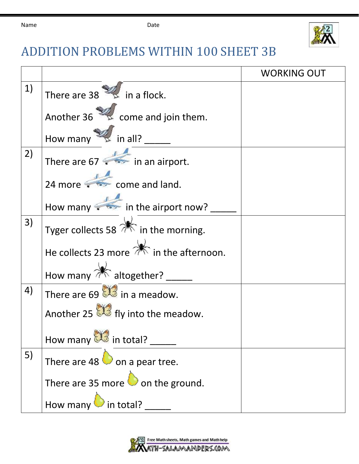

## ADDITION PROBLEMS WITHIN 100 SHEET 3B

|    |                                                            | <b>WORKING OUT</b> |
|----|------------------------------------------------------------|--------------------|
| 1) | There are $38 \times \pi$ in a flock.                      |                    |
|    | Another 36 $\approx$ come and join them.                   |                    |
|    | How many $\mathscr{U}$ in all?                             |                    |
| 2) | There are 67 $\leftrightarrow$ in an airport.              |                    |
|    | 24 more $\leftarrow$ come and land.                        |                    |
|    | How many in the airport now?                               |                    |
| 3) | Tyger collects 58 $\mathbb{\hat{R}}$ in the morning.       |                    |
|    | He collects 23 more $\overrightarrow{m}$ in the afternoon. |                    |
|    | How many $\mathbb{*}$ altogether? __                       |                    |
| 4) | There are 69 $\mathbb{S}$ in a meadow.                     |                    |
|    | Another 25 $\mathbb{S}$ fly into the meadow.               |                    |
|    | How many <b>Solution</b> in total?                         |                    |
| 5) | There are 48 $\bullet$ on a pear tree.                     |                    |
|    | There are 35 more $\bigcirc$ on the ground.                |                    |
|    | How many $\bullet$ in total?                               |                    |